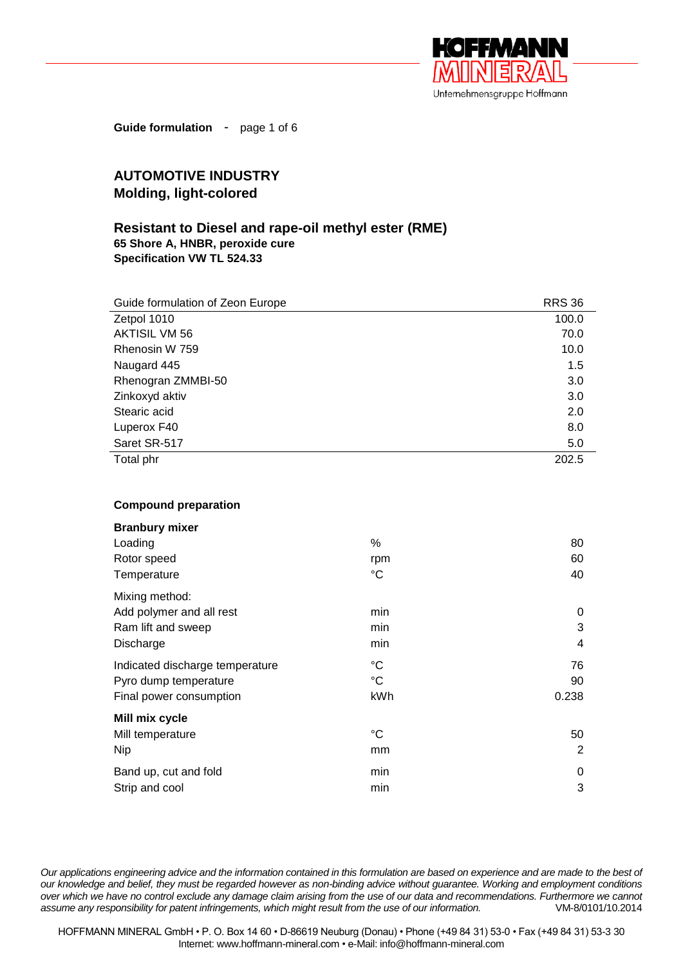

**Guide formulation** - page 1 of 6

## **AUTOMOTIVE INDUSTRY Molding, light-colored**

## **Resistant to Diesel and rape-oil methyl ester (RME) 65 Shore A, HNBR, peroxide cure Specification VW TL 524.33**

| Guide formulation of Zeon Europe | <b>RRS 36</b> |
|----------------------------------|---------------|
| Zetpol 1010                      | 100.0         |
| <b>AKTISIL VM 56</b>             | 70.0          |
| Rhenosin W 759                   | 10.0          |
| Naugard 445                      | 1.5           |
| Rhenogran ZMMBI-50               | 3.0           |
| Zinkoxyd aktiv                   | 3.0           |
| Stearic acid                     | 2.0           |
| Luperox F40                      | 8.0           |
| Saret SR-517                     | 5.0           |
| Total phr                        | 202.5         |

## **Compound preparation**

| <b>Branbury mixer</b>           |             |       |
|---------------------------------|-------------|-------|
| Loading                         | %           | 80    |
| Rotor speed                     | rpm         | 60    |
| Temperature                     | $^{\circ}C$ | 40    |
| Mixing method:                  |             |       |
| Add polymer and all rest        | min         | 0     |
| Ram lift and sweep              | min         | 3     |
| Discharge                       | min         | 4     |
| Indicated discharge temperature | °C          | 76    |
| Pyro dump temperature           | $^{\circ}C$ | 90    |
| Final power consumption         | kWh         | 0.238 |
| Mill mix cycle                  |             |       |
| Mill temperature                | °C          | 50    |
| <b>Nip</b>                      | mm          | 2     |
| Band up, cut and fold           | min         | 0     |
| Strip and cool                  | min         | 3     |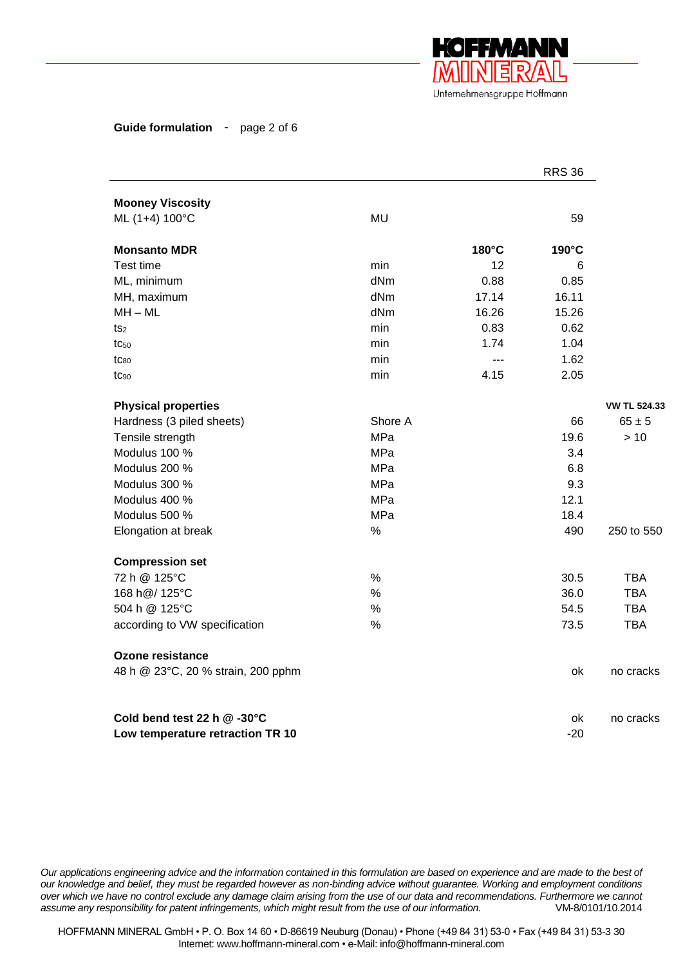

**Guide formulation** - page 2 of 6

|                                    |               |                 | <b>RRS 36</b> |                     |
|------------------------------------|---------------|-----------------|---------------|---------------------|
| <b>Mooney Viscosity</b>            |               |                 |               |                     |
| ML (1+4) 100°C                     | <b>MU</b>     |                 | 59            |                     |
| <b>Monsanto MDR</b>                |               | 180°C           | 190°C         |                     |
| Test time                          | min           | 12 <sup>2</sup> | 6             |                     |
| ML, minimum                        | dNm           | 0.88            | 0.85          |                     |
| MH, maximum                        | dNm           | 17.14           | 16.11         |                     |
| $MH - ML$                          | dNm           | 16.26           | 15.26         |                     |
| ts <sub>2</sub>                    | min           | 0.83            | 0.62          |                     |
| $tc_{50}$                          | min           | 1.74            | 1.04          |                     |
| $tc_{80}$                          | min           | $\overline{a}$  | 1.62          |                     |
| $tc_{90}$                          | min           | 4.15            | 2.05          |                     |
| <b>Physical properties</b>         |               |                 |               | <b>VW TL 524.33</b> |
| Hardness (3 piled sheets)          | Shore A       |                 | 66            | $65 \pm 5$          |
| Tensile strength                   | <b>MPa</b>    |                 | 19.6          | > 10                |
| Modulus 100 %                      | <b>MPa</b>    |                 | 3.4           |                     |
| Modulus 200 %                      | MPa           |                 | 6.8           |                     |
| Modulus 300 %                      | MPa           |                 | 9.3           |                     |
| Modulus 400 %                      | MPa           |                 | 12.1          |                     |
| Modulus 500 %                      | MPa           |                 | 18.4          |                     |
| Elongation at break                | $\%$          |                 | 490           | 250 to 550          |
| <b>Compression set</b>             |               |                 |               |                     |
| 72 h @ 125°C                       | $\%$          |                 | 30.5          | TBA                 |
| 168 h@/ 125°C                      | $\frac{0}{0}$ |                 | 36.0          | <b>TBA</b>          |
| 504 h @ 125°C                      | $\frac{0}{0}$ |                 | 54.5          | <b>TBA</b>          |
| according to VW specification      | $\%$          |                 | 73.5          | <b>TBA</b>          |
| <b>Ozone resistance</b>            |               |                 |               |                     |
| 48 h @ 23°C, 20 % strain, 200 pphm |               |                 | ok            | no cracks           |
| Cold bend test 22 h @ -30°C        |               |                 | ok            | no cracks           |
| Low temperature retraction TR 10   |               |                 | $-20$         |                     |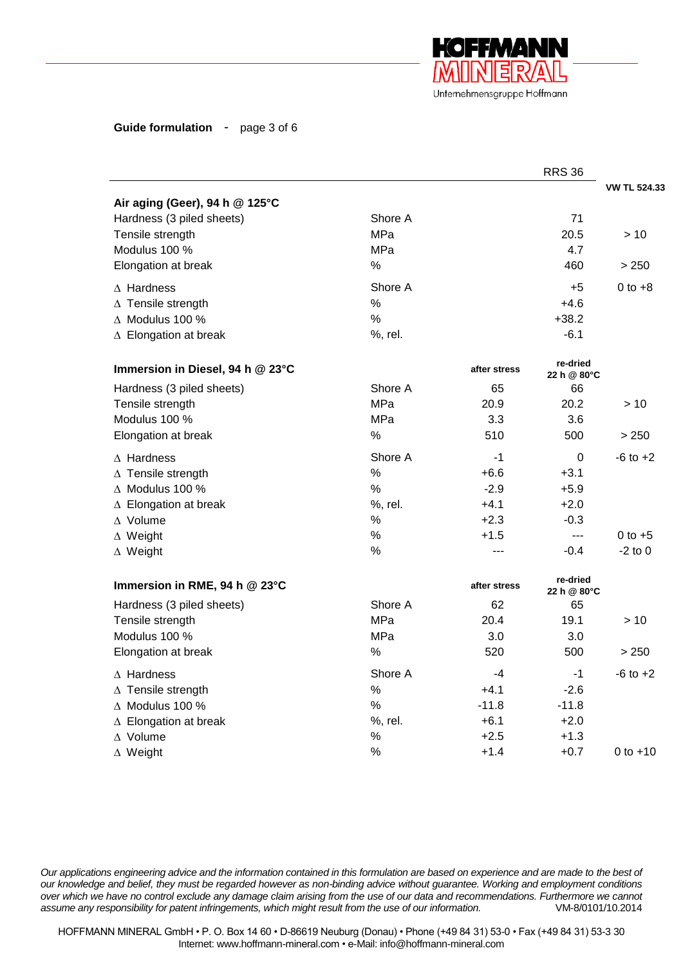

**Guide formulation** - page 3 of 6

|                                  |               |              | <b>RRS 36</b>           |                     |
|----------------------------------|---------------|--------------|-------------------------|---------------------|
|                                  |               |              |                         | <b>VW TL 524.33</b> |
| Air aging (Geer), 94 h @ 125°C   |               |              |                         |                     |
| Hardness (3 piled sheets)        | Shore A       |              | 71                      |                     |
| Tensile strength                 | MPa           |              | 20.5                    | >10                 |
| Modulus 100 %                    | MPa           |              | 4.7                     |                     |
| Elongation at break              | $\%$          |              | 460                     | > 250               |
| $\Delta$ Hardness                | Shore A       |              | $+5$                    | $0$ to $+8$         |
| $\Delta$ Tensile strength        | $\%$          |              | $+4.6$                  |                     |
| $\triangle$ Modulus 100 %        | $\frac{0}{0}$ |              | $+38.2$                 |                     |
| $\triangle$ Elongation at break  | %, rel.       |              | $-6.1$                  |                     |
| Immersion in Diesel, 94 h @ 23°C |               | after stress | re-dried<br>22 h @ 80°C |                     |
| Hardness (3 piled sheets)        | Shore A       | 65           | 66                      |                     |
| Tensile strength                 | MPa           | 20.9         | 20.2                    | >10                 |
| Modulus 100 %                    | MPa           | 3.3          | 3.6                     |                     |
| Elongation at break              | $\%$          | 510          | 500                     | > 250               |
| $\Delta$ Hardness                | Shore A       | $-1$         | 0                       | $-6$ to $+2$        |
| $\Delta$ Tensile strength        | $\%$          | $+6.6$       | $+3.1$                  |                     |
| $\triangle$ Modulus 100 %        | $\%$          | $-2.9$       | $+5.9$                  |                     |
| $\triangle$ Elongation at break  | %, rel.       | $+4.1$       | $+2.0$                  |                     |
| $\Delta$ Volume                  | $\%$          | $+2.3$       | $-0.3$                  |                     |
| $\Delta$ Weight                  | $\%$          | $+1.5$       | $\overline{a}$          | $0$ to $+5$         |
| $\Delta$ Weight                  | %             | ---          | $-0.4$                  | $-2$ to 0           |
| Immersion in RME, 94 h @ 23°C    |               | after stress | re-dried<br>22 h @ 80°C |                     |
| Hardness (3 piled sheets)        | Shore A       | 62           | 65                      |                     |
| Tensile strength                 | MPa           | 20.4         | 19.1                    | > 10                |
| Modulus 100 %                    | <b>MPa</b>    | 3.0          | 3.0                     |                     |
| Elongation at break              | $\%$          | 520          | 500                     | > 250               |
| $\wedge$ Hardness                | Shore A       | -4           | $-1$                    | $-6$ to $+2$        |
| $\Delta$ Tensile strength        | $\%$          | $+4.1$       | $-2.6$                  |                     |
| $\triangle$ Modulus 100 %        | $\%$          | $-11.8$      | $-11.8$                 |                     |
| $\triangle$ Elongation at break  | %, rel.       | $+6.1$       | $+2.0$                  |                     |
| $\Delta$ Volume                  | $\%$          | $+2.5$       | $+1.3$                  |                     |
| $\Delta$ Weight                  | %             | $+1.4$       | $+0.7$                  | 0 to $+10$          |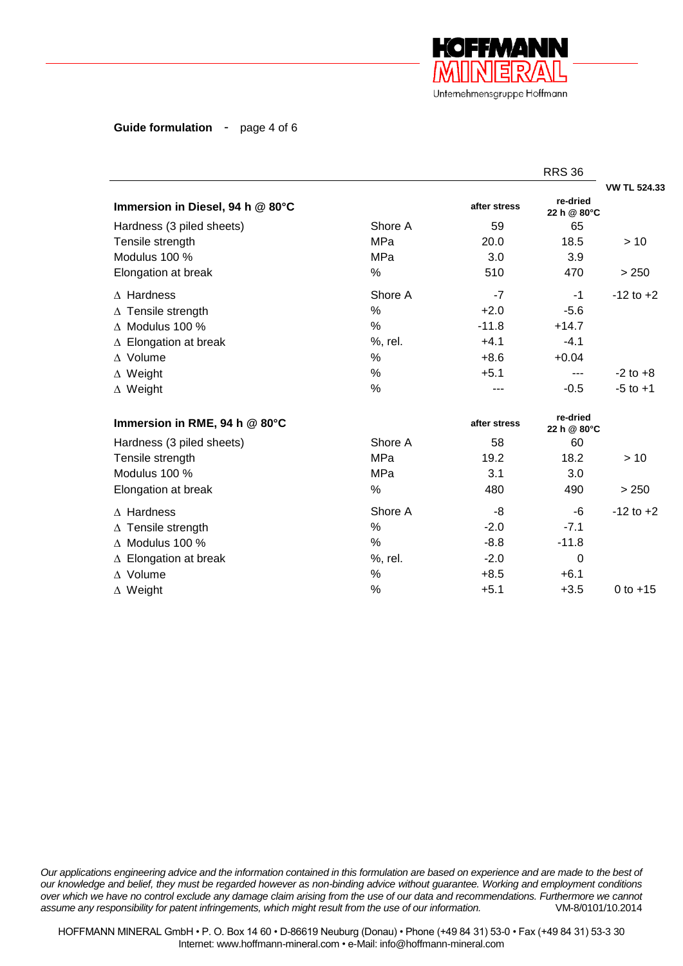

**Guide formulation** - page 4 of 6

|                                  |            |              | <b>RRS 36</b>           |                     |
|----------------------------------|------------|--------------|-------------------------|---------------------|
|                                  |            |              |                         | <b>VW TL 524.33</b> |
| Immersion in Diesel, 94 h @ 80°C |            | after stress | re-dried<br>22 h @ 80°C |                     |
| Hardness (3 piled sheets)        | Shore A    | 59           | 65                      |                     |
| Tensile strength                 | MPa        | 20.0         | 18.5                    | >10                 |
| Modulus 100 %                    | <b>MPa</b> | 3.0          | 3.9                     |                     |
| Elongation at break              | $\%$       | 510          | 470                     | > 250               |
| $\Delta$ Hardness                | Shore A    | $-7$         | $-1$                    | $-12$ to $+2$       |
| $\triangle$ Tensile strength     | %          | $+2.0$       | $-5.6$                  |                     |
| $\triangle$ Modulus 100 %        | $\%$       | $-11.8$      | $+14.7$                 |                     |
| $\triangle$ Elongation at break  | %, rel.    | $+4.1$       | $-4.1$                  |                     |
| $\Delta$ Volume                  | %          | $+8.6$       | $+0.04$                 |                     |
| $\Delta$ Weight                  | %          | $+5.1$       | ---                     | $-2$ to $+8$        |
| $\Delta$ Weight                  | %          |              | $-0.5$                  | $-5$ to $+1$        |
| Immersion in RME, 94 h @ 80°C    |            | after stress | re-dried<br>22 h @ 80°C |                     |
| Hardness (3 piled sheets)        | Shore A    | 58           | 60                      |                     |
| Tensile strength                 | MPa        | 19.2         | 18.2                    | >10                 |
| Modulus 100 %                    | MPa        | 3.1          | 3.0                     |                     |
| Elongation at break              | %          | 480          | 490                     | > 250               |
| $\Delta$ Hardness                | Shore A    | -8           | -6                      | $-12$ to $+2$       |
| $\triangle$ Tensile strength     | %          | $-2.0$       | $-7.1$                  |                     |
| $\triangle$ Modulus 100 %        | %          | $-8.8$       | $-11.8$                 |                     |
| $\triangle$ Elongation at break  | %, rel.    | $-2.0$       | 0                       |                     |
| $\Delta$ Volume                  | %          | $+8.5$       | $+6.1$                  |                     |
| $\Delta$ Weight                  | %          | $+5.1$       | $+3.5$                  | 0 to $+15$          |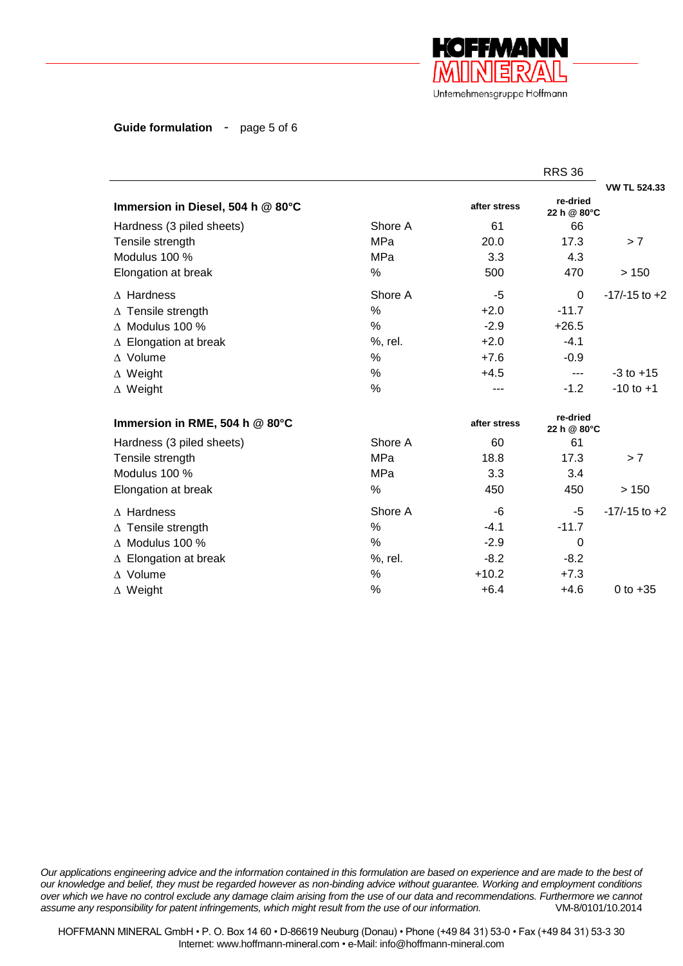

**Guide formulation** - page 5 of 6

|                                   |         |              | <b>RRS 36</b>           |                     |
|-----------------------------------|---------|--------------|-------------------------|---------------------|
|                                   |         |              |                         | <b>VW TL 524.33</b> |
| Immersion in Diesel, 504 h @ 80°C |         | after stress | re-dried<br>22 h @ 80°C |                     |
| Hardness (3 piled sheets)         | Shore A | 61           | 66                      |                     |
| Tensile strength                  | MPa     | 20.0         | 17.3                    | > 7                 |
| Modulus 100 %                     | MPa     | 3.3          | 4.3                     |                     |
| Elongation at break               | $\%$    | 500          | 470                     | >150                |
| $\wedge$ Hardness                 | Shore A | -5           | $\Omega$                | $-17/-15$ to $+2$   |
| $\triangle$ Tensile strength      | %       | $+2.0$       | $-11.7$                 |                     |
| $\triangle$ Modulus 100 %         | $\%$    | $-2.9$       | $+26.5$                 |                     |
| $\triangle$ Elongation at break   | %, rel. | $+2.0$       | $-4.1$                  |                     |
| $\Delta$ Volume                   | %       | $+7.6$       | $-0.9$                  |                     |
| $\Delta$ Weight                   | $\%$    | $+4.5$       | $---$                   | $-3$ to $+15$       |
| $\Delta$ Weight                   | %       | ---          | $-1.2$                  | $-10$ to $+1$       |
| Immersion in RME, 504 h @ 80°C    |         | after stress | re-dried<br>22 h @ 80°C |                     |
| Hardness (3 piled sheets)         | Shore A | 60           | 61                      |                     |
| Tensile strength                  | MPa     | 18.8         | 17.3                    | > 7                 |
| Modulus 100 %                     | MPa     | 3.3          | 3.4                     |                     |
| Elongation at break               | %       | 450          | 450                     | >150                |
| $\wedge$ Hardness                 | Shore A | -6           | -5                      | $-17/-15$ to $+2$   |
| $\triangle$ Tensile strength      | %       | $-4.1$       | $-11.7$                 |                     |
| $\land$ Modulus 100 %             | %       | $-2.9$       | $\Omega$                |                     |
| $\triangle$ Elongation at break   | %, rel. | $-8.2$       | $-8.2$                  |                     |
| $\Delta$ Volume                   | $\%$    | $+10.2$      | $+7.3$                  |                     |
| $\Delta$ Weight                   | %       | $+6.4$       | $+4.6$                  | 0 to $+35$          |